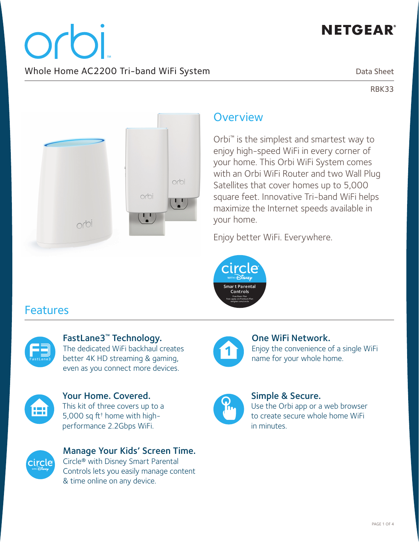# **NETGEAR®**

orbi. Whole Home AC2200 Tri-band WiFi System

Data Sheet

RBK33



# **Overview**

Orbi™ is the simplest and smartest way to enjoy high-speed WiFi in every corner of your home. This Orbi WiFi System comes with an Orbi WiFi Router and two Wall Plug Satellites that cover homes up to 5,000 square feet. Innovative Tri-band WiFi helps maximize the Internet speeds available in your home.

Enjoy better WiFi. Everywhere.



# Features



FastLane3™ Technology. The dedicated WiFi backhaul creates better 4K HD streaming & gaming, even as you connect more devices.



Your Home. Covered. This kit of three covers up to a

5,000 sq ft† home with highperformance 2.2Gbps WiFi.



Manage Your Kids' Screen Time. Circle® with Disney Smart Parental Controls lets you easily manage content & time online on any device.



One WiFi Network. Enjoy the convenience of a single WiFi name for your whole home.



### Simple & Secure.

Use the Orbi app or a web browser to create secure whole home WiFi in minutes.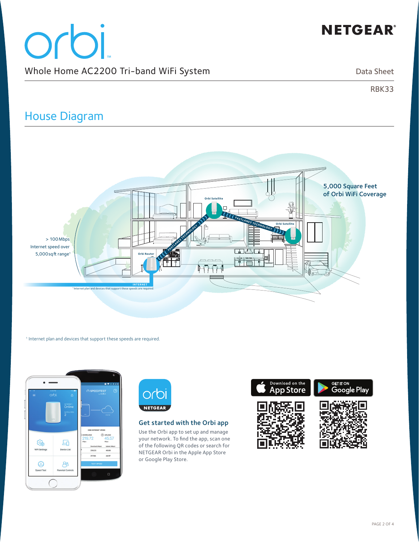# **NETGEAR®**

# orbi Whole Home AC2200 Tri-band WiFi System

Data Sheet

RBK33

# House Diagram



1 Internet plan and devices that support these speeds are required.





### Get started with the Orbi app

Use the Orbi app to set up and manage your network. To find the app, scan one of the following QR codes or search for NETGEAR Orbi in the Apple App Store or Google Play Store.

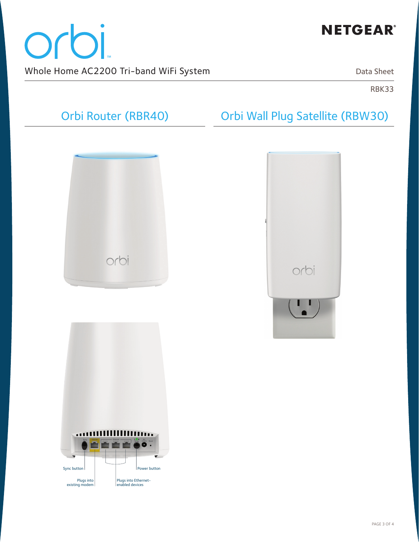

# orbi Whole Home AC2200 Tri-band WiFi System

Data Sheet

RBK33

# Orbi Router (RBR40)

# orbi



Orbi Wall Plug Satellite (RBW30)